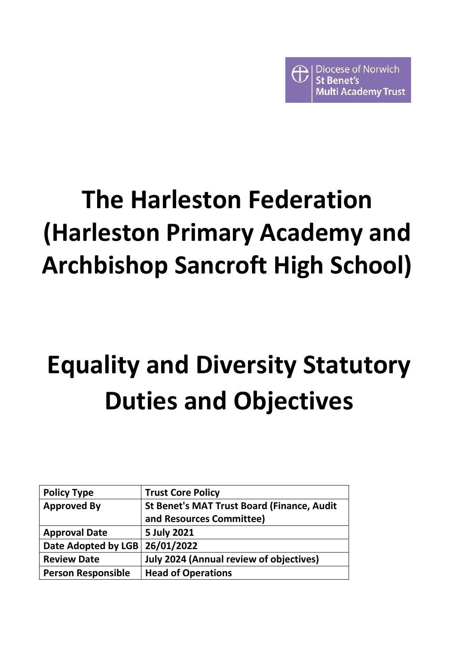

# **The Harleston Federation (Harleston Primary Academy and Archbishop Sancroft High School)**

# **Equality and Diversity Statutory Duties and Objectives**

| <b>Policy Type</b>             | <b>Trust Core Policy</b>                          |
|--------------------------------|---------------------------------------------------|
| <b>Approved By</b>             | <b>St Benet's MAT Trust Board (Finance, Audit</b> |
|                                | and Resources Committee)                          |
| <b>Approval Date</b>           | 5 July 2021                                       |
| Date Adopted by LGB 26/01/2022 |                                                   |
| <b>Review Date</b>             | <b>July 2024 (Annual review of objectives)</b>    |
| <b>Person Responsible</b>      | <b>Head of Operations</b>                         |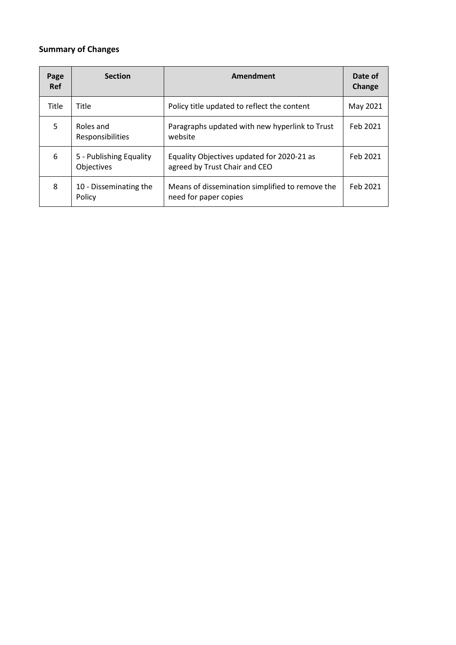# **Summary of Changes**

| Page<br><b>Ref</b> | <b>Section</b>                        | <b>Amendment</b>                                                            | Date of<br>Change |
|--------------------|---------------------------------------|-----------------------------------------------------------------------------|-------------------|
| <b>Title</b>       | Title                                 | Policy title updated to reflect the content                                 | May 2021          |
| 5                  | Roles and<br><b>Responsibilities</b>  | Paragraphs updated with new hyperlink to Trust<br>website                   | Feb 2021          |
| 6                  | 5 - Publishing Equality<br>Objectives | Equality Objectives updated for 2020-21 as<br>agreed by Trust Chair and CEO | Feb 2021          |
| 8                  | 10 - Disseminating the<br>Policy      | Means of dissemination simplified to remove the<br>need for paper copies    | Feb 2021          |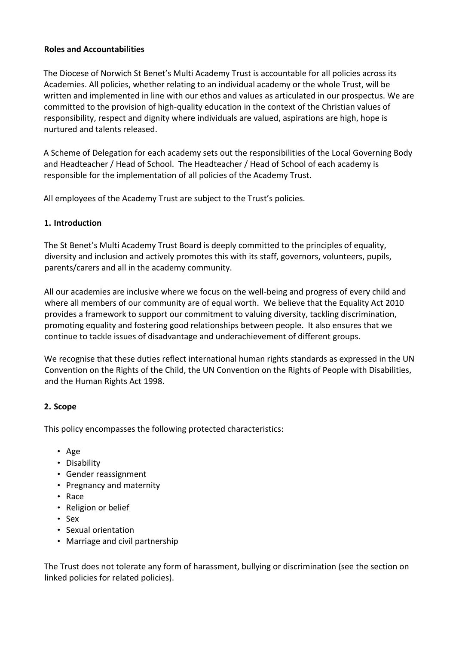#### **Roles and Accountabilities**

The Diocese of Norwich St Benet's Multi Academy Trust is accountable for all policies across its Academies. All policies, whether relating to an individual academy or the whole Trust, will be written and implemented in line with our ethos and values as articulated in our prospectus. We are committed to the provision of high-quality education in the context of the Christian values of responsibility, respect and dignity where individuals are valued, aspirations are high, hope is nurtured and talents released.

A Scheme of Delegation for each academy sets out the responsibilities of the Local Governing Body and Headteacher / Head of School. The Headteacher / Head of School of each academy is responsible for the implementation of all policies of the Academy Trust.

All employees of the Academy Trust are subject to the Trust's policies.

#### **1. Introduction**

The St Benet's Multi Academy Trust Board is deeply committed to the principles of equality, diversity and inclusion and actively promotes this with its staff, governors, volunteers, pupils, parents/carers and all in the academy community.

All our academies are inclusive where we focus on the well-being and progress of every child and where all members of our community are of equal worth. We believe that the Equality Act 2010 provides a framework to support our commitment to valuing diversity, tackling discrimination, promoting equality and fostering good relationships between people. It also ensures that we continue to tackle issues of disadvantage and underachievement of different groups.

We recognise that these duties reflect international human rights standards as expressed in the UN Convention on the Rights of the Child, the UN Convention on the Rights of People with Disabilities, and the Human Rights Act 1998.

### **2. Scope**

This policy encompasses the following protected characteristics:

- Age
- Disability
- Gender reassignment
- Pregnancy and maternity
- Race
- Religion or belief
- Sex
- Sexual orientation
- Marriage and civil partnership

The Trust does not tolerate any form of harassment, bullying or discrimination (see the section on linked policies for related policies).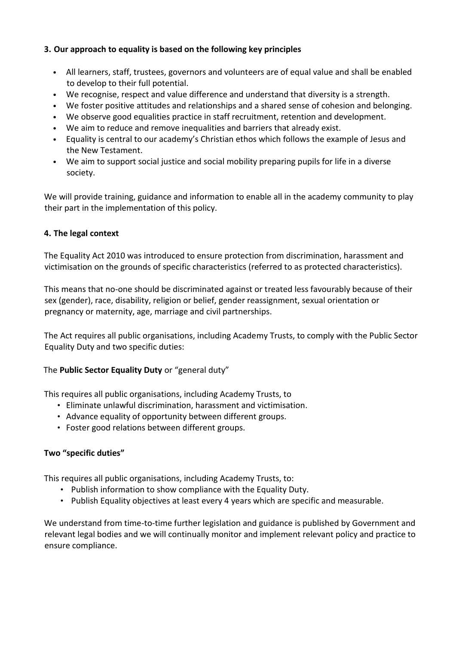## **3. Our approach to equality is based on the following key principles**

- All learners, staff, trustees, governors and volunteers are of equal value and shall be enabled to develop to their full potential.
- We recognise, respect and value difference and understand that diversity is a strength.
- We foster positive attitudes and relationships and a shared sense of cohesion and belonging.
- We observe good equalities practice in staff recruitment, retention and development.
- We aim to reduce and remove inequalities and barriers that already exist.
- Equality is central to our academy's Christian ethos which follows the example of Jesus and the New Testament.
- We aim to support social justice and social mobility preparing pupils for life in a diverse society.

We will provide training, guidance and information to enable all in the academy community to play their part in the implementation of this policy.

#### **4. The legal context**

The Equality Act 2010 was introduced to ensure protection from discrimination, harassment and victimisation on the grounds of specific characteristics (referred to as protected characteristics).

This means that no-one should be discriminated against or treated less favourably because of their sex (gender), race, disability, religion or belief, gender reassignment, sexual orientation or pregnancy or maternity, age, marriage and civil partnerships.

The Act requires all public organisations, including Academy Trusts, to comply with the Public Sector Equality Duty and two specific duties:

### The **Public Sector Equality Duty** or "general duty"

This requires all public organisations, including Academy Trusts, to

- Eliminate unlawful discrimination, harassment and victimisation.
- Advance equality of opportunity between different groups.
- Foster good relations between different groups.

### **Two "specific duties"**

This requires all public organisations, including Academy Trusts, to:

- Publish information to show compliance with the Equality Duty.
- Publish Equality objectives at least every 4 years which are specific and measurable.

We understand from time-to-time further legislation and guidance is published by Government and relevant legal bodies and we will continually monitor and implement relevant policy and practice to ensure compliance.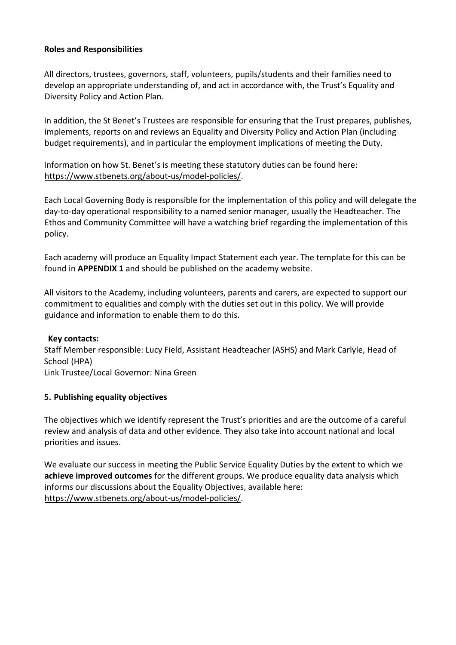#### **Roles and Responsibilities**

All directors, trustees, governors, staff, volunteers, pupils/students and their families need to develop an appropriate understanding of, and act in accordance with, the Trust's Equality and Diversity Policy and Action Plan.

In addition, the St Benet's Trustees are responsible for ensuring that the Trust prepares, publishes, implements, reports on and reviews an Equality and Diversity Policy and Action Plan (including budget requirements), and in particular the employment implications of meeting the Duty.

Information on how St. Benet's is meeting these statutory duties can be found here: [https://www.stbenets.org/about-us/model-policies/.](https://www.stbenets.org/about-us/model-policies/)

Each Local Governing Body is responsible for the implementation of this policy and will delegate the day-to-day operational responsibility to a named senior manager, usually the Headteacher. The Ethos and Community Committee will have a watching brief regarding the implementation of this policy.

Each academy will produce an Equality Impact Statement each year. The template for this can be found in **APPENDIX 1** and should be published on the academy website.

All visitors to the Academy, including volunteers, parents and carers, are expected to support our commitment to equalities and comply with the duties set out in this policy. We will provide guidance and information to enable them to do this.

#### **Key contacts:**

Staff Member responsible: Lucy Field, Assistant Headteacher (ASHS) and Mark Carlyle, Head of School (HPA) Link Trustee/Local Governor: Nina Green

### **5. Publishing equality objectives**

The objectives which we identify represent the Trust's priorities and are the outcome of a careful review and analysis of data and other evidence. They also take into account national and local priorities and issues.

We evaluate our success in meeting the Public Service Equality Duties by the extent to which we **achieve improved outcomes** for the different groups. We produce equality data analysis which informs our discussions about the Equality Objectives, available here: [https://www.stbenets.org/about-us/model-policies/.](https://www.stbenets.org/about-us/model-policies/)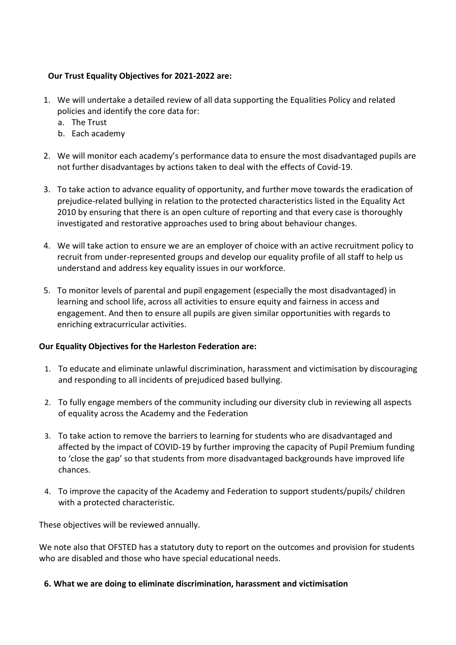## **Our Trust Equality Objectives for 2021-2022 are:**

- 1. We will undertake a detailed review of all data supporting the Equalities Policy and related policies and identify the core data for:
	- a. The Trust
	- b. Each academy
- 2. We will monitor each academy's performance data to ensure the most disadvantaged pupils are not further disadvantages by actions taken to deal with the effects of Covid-19.
- 3. To take action to advance equality of opportunity, and further move towards the eradication of prejudice-related bullying in relation to the protected characteristics listed in the Equality Act 2010 by ensuring that there is an open culture of reporting and that every case is thoroughly investigated and restorative approaches used to bring about behaviour changes.
- 4. We will take action to ensure we are an employer of choice with an active recruitment policy to recruit from under-represented groups and develop our equality profile of all staff to help us understand and address key equality issues in our workforce.
- 5. To monitor levels of parental and pupil engagement (especially the most disadvantaged) in learning and school life, across all activities to ensure equity and fairness in access and engagement. And then to ensure all pupils are given similar opportunities with regards to enriching extracurricular activities.

### **Our Equality Objectives for the Harleston Federation are:**

- 1. To educate and eliminate unlawful discrimination, harassment and victimisation by discouraging and responding to all incidents of prejudiced based bullying.
- 2. To fully engage members of the community including our diversity club in reviewing all aspects of equality across the Academy and the Federation
- 3. To take action to remove the barriers to learning for students who are disadvantaged and affected by the impact of COVID-19 by further improving the capacity of Pupil Premium funding to 'close the gap' so that students from more disadvantaged backgrounds have improved life chances.
- 4. To improve the capacity of the Academy and Federation to support students/pupils/ children with a protected characteristic.

These objectives will be reviewed annually.

We note also that OFSTED has a statutory duty to report on the outcomes and provision for students who are disabled and those who have special educational needs.

### **6. What we are doing to eliminate discrimination, harassment and victimisation**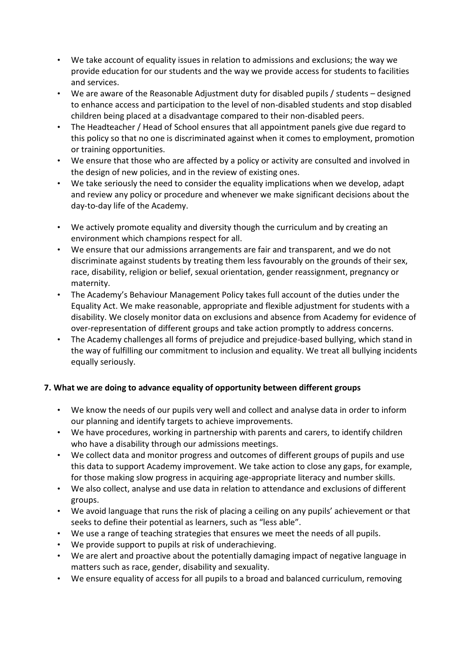- We take account of equality issues in relation to admissions and exclusions; the way we provide education for our students and the way we provide access for students to facilities and services.
- We are aware of the Reasonable Adjustment duty for disabled pupils / students designed to enhance access and participation to the level of non-disabled students and stop disabled children being placed at a disadvantage compared to their non-disabled peers.
- The Headteacher / Head of School ensures that all appointment panels give due regard to this policy so that no one is discriminated against when it comes to employment, promotion or training opportunities.
- We ensure that those who are affected by a policy or activity are consulted and involved in the design of new policies, and in the review of existing ones.
- We take seriously the need to consider the equality implications when we develop, adapt and review any policy or procedure and whenever we make significant decisions about the day-to-day life of the Academy.
- We actively promote equality and diversity though the curriculum and by creating an environment which champions respect for all.
- We ensure that our admissions arrangements are fair and transparent, and we do not discriminate against students by treating them less favourably on the grounds of their sex, race, disability, religion or belief, sexual orientation, gender reassignment, pregnancy or maternity.
- The Academy's Behaviour Management Policy takes full account of the duties under the Equality Act. We make reasonable, appropriate and flexible adjustment for students with a disability. We closely monitor data on exclusions and absence from Academy for evidence of over-representation of different groups and take action promptly to address concerns.
- The Academy challenges all forms of prejudice and prejudice-based bullying, which stand in the way of fulfilling our commitment to inclusion and equality. We treat all bullying incidents equally seriously.

# **7. What we are doing to advance equality of opportunity between different groups**

- We know the needs of our pupils very well and collect and analyse data in order to inform our planning and identify targets to achieve improvements.
- We have procedures, working in partnership with parents and carers, to identify children who have a disability through our admissions meetings.
- We collect data and monitor progress and outcomes of different groups of pupils and use this data to support Academy improvement. We take action to close any gaps, for example, for those making slow progress in acquiring age-appropriate literacy and number skills.
- We also collect, analyse and use data in relation to attendance and exclusions of different groups.
- We avoid language that runs the risk of placing a ceiling on any pupils' achievement or that seeks to define their potential as learners, such as "less able".
- We use a range of teaching strategies that ensures we meet the needs of all pupils.
- We provide support to pupils at risk of underachieving.
- We are alert and proactive about the potentially damaging impact of negative language in matters such as race, gender, disability and sexuality.
- We ensure equality of access for all pupils to a broad and balanced curriculum, removing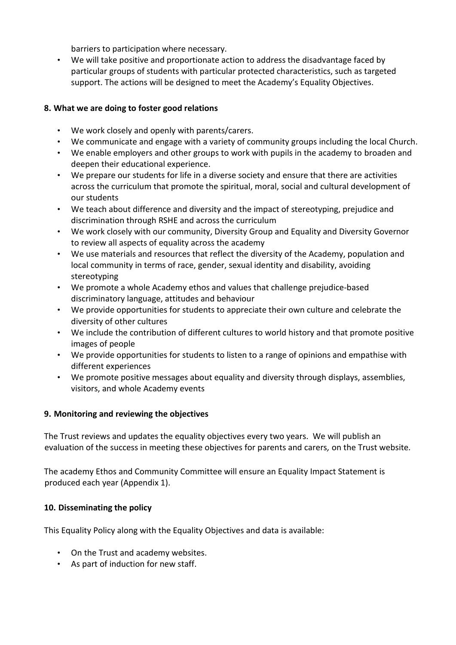barriers to participation where necessary.

• We will take positive and proportionate action to address the disadvantage faced by particular groups of students with particular protected characteristics, such as targeted support. The actions will be designed to meet the Academy's Equality Objectives.

# **8. What we are doing to foster good relations**

- We work closely and openly with parents/carers.
- We communicate and engage with a variety of community groups including the local Church.
- We enable employers and other groups to work with pupils in the academy to broaden and deepen their educational experience.
- We prepare our students for life in a diverse society and ensure that there are activities across the curriculum that promote the spiritual, moral, social and cultural development of our students
- We teach about difference and diversity and the impact of stereotyping, prejudice and discrimination through RSHE and across the curriculum
- We work closely with our community, Diversity Group and Equality and Diversity Governor to review all aspects of equality across the academy
- We use materials and resources that reflect the diversity of the Academy, population and local community in terms of race, gender, sexual identity and disability, avoiding stereotyping
- We promote a whole Academy ethos and values that challenge prejudice-based discriminatory language, attitudes and behaviour
- We provide opportunities for students to appreciate their own culture and celebrate the diversity of other cultures
- We include the contribution of different cultures to world history and that promote positive images of people
- We provide opportunities for students to listen to a range of opinions and empathise with different experiences
- We promote positive messages about equality and diversity through displays, assemblies, visitors, and whole Academy events

# **9. Monitoring and reviewing the objectives**

The Trust reviews and updates the equality objectives every two years. We will publish an evaluation of the success in meeting these objectives for parents and carers*,* on the Trust website*.*

The academy Ethos and Community Committee will ensure an Equality Impact Statement is produced each year (Appendix 1).

# **10. Disseminating the policy**

This Equality Policy along with the Equality Objectives and data is available:

- On the Trust and academy websites.
- As part of induction for new staff.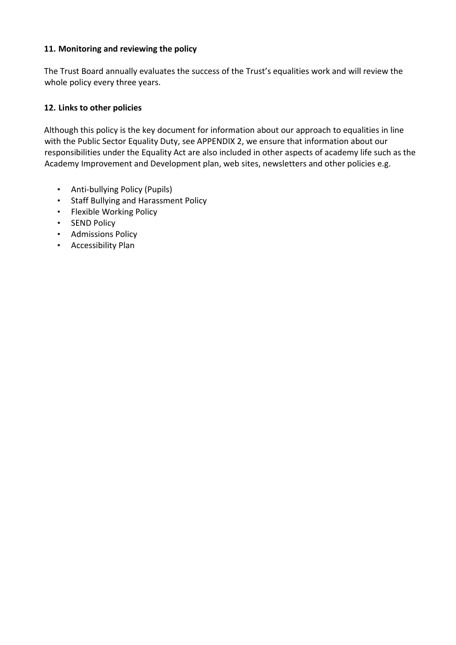### **11. Monitoring and reviewing the policy**

The Trust Board annually evaluates the success of the Trust's equalities work and will review the whole policy every three years.

#### **12. Links to other policies**

Although this policy is the key document for information about our approach to equalities in line with the Public Sector Equality Duty, see APPENDIX 2, we ensure that information about our responsibilities under the Equality Act are also included in other aspects of academy life such as the Academy Improvement and Development plan, web sites, newsletters and other policies e.g.

- Anti-bullying Policy (Pupils)
- Staff Bullying and Harassment Policy
- Flexible Working Policy
- SEND Policy
- Admissions Policy
- Accessibility Plan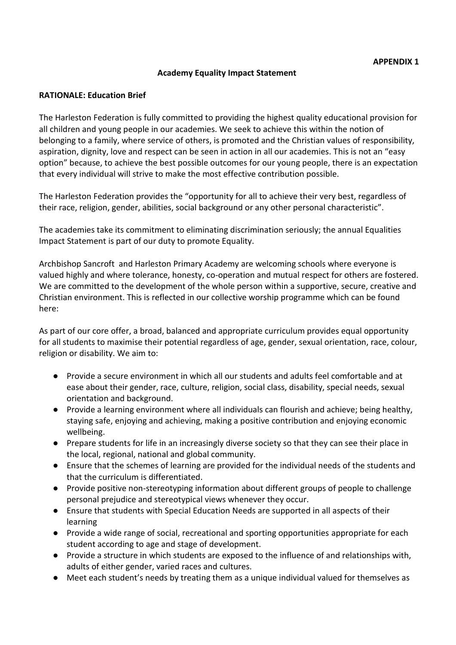#### **Academy Equality Impact Statement**

#### **RATIONALE: Education Brief**

The Harleston Federation is fully committed to providing the highest quality educational provision for all children and young people in our academies. We seek to achieve this within the notion of belonging to a family, where service of others, is promoted and the Christian values of responsibility, aspiration, dignity, love and respect can be seen in action in all our academies. This is not an "easy option" because, to achieve the best possible outcomes for our young people, there is an expectation that every individual will strive to make the most effective contribution possible.

The Harleston Federation provides the "opportunity for all to achieve their very best, regardless of their race, religion, gender, abilities, social background or any other personal characteristic".

The academies take its commitment to eliminating discrimination seriously; the annual Equalities Impact Statement is part of our duty to promote Equality.

Archbishop Sancroft and Harleston Primary Academy are welcoming schools where everyone is valued highly and where tolerance, honesty, co-operation and mutual respect for others are fostered. We are committed to the development of the whole person within a supportive, secure, creative and Christian environment. This is reflected in our collective worship programme which can be found here:

As part of our core offer, a broad, balanced and appropriate curriculum provides equal opportunity for all students to maximise their potential regardless of age, gender, sexual orientation, race, colour, religion or disability. We aim to:

- Provide a secure environment in which all our students and adults feel comfortable and at ease about their gender, race, culture, religion, social class, disability, special needs, sexual orientation and background.
- Provide a learning environment where all individuals can flourish and achieve; being healthy, staying safe, enjoying and achieving, making a positive contribution and enjoying economic wellbeing.
- Prepare students for life in an increasingly diverse society so that they can see their place in the local, regional, national and global community.
- Ensure that the schemes of learning are provided for the individual needs of the students and that the curriculum is differentiated.
- Provide positive non-stereotyping information about different groups of people to challenge personal prejudice and stereotypical views whenever they occur.
- Ensure that students with Special Education Needs are supported in all aspects of their learning
- Provide a wide range of social, recreational and sporting opportunities appropriate for each student according to age and stage of development.
- Provide a structure in which students are exposed to the influence of and relationships with, adults of either gender, varied races and cultures.
- Meet each student's needs by treating them as a unique individual valued for themselves as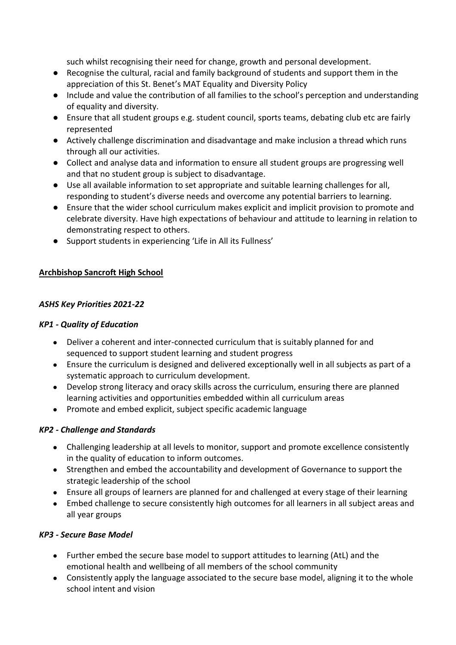such whilst recognising their need for change, growth and personal development.

- Recognise the cultural, racial and family background of students and support them in the appreciation of this St. Benet's MAT Equality and Diversity Policy
- Include and value the contribution of all families to the school's perception and understanding of equality and diversity.
- Ensure that all student groups e.g. student council, sports teams, debating club etc are fairly represented
- Actively challenge discrimination and disadvantage and make inclusion a thread which runs through all our activities.
- Collect and analyse data and information to ensure all student groups are progressing well and that no student group is subject to disadvantage.
- Use all available information to set appropriate and suitable learning challenges for all, responding to student's diverse needs and overcome any potential barriers to learning.
- Ensure that the wider school curriculum makes explicit and implicit provision to promote and celebrate diversity. Have high expectations of behaviour and attitude to learning in relation to demonstrating respect to others.
- Support students in experiencing 'Life in All its Fullness'

# **Archbishop Sancroft High School**

## *ASHS Key Priorities 2021-22*

## *KP1 - Quality of Education*

- Deliver a coherent and inter-connected curriculum that is suitably planned for and sequenced to support student learning and student progress
- Ensure the curriculum is designed and delivered exceptionally well in all subjects as part of a systematic approach to curriculum development.
- Develop strong literacy and oracy skills across the curriculum, ensuring there are planned learning activities and opportunities embedded within all curriculum areas
- Promote and embed explicit, subject specific academic language

# *KP2 - Challenge and Standards*

- Challenging leadership at all levels to monitor, support and promote excellence consistently in the quality of education to inform outcomes.
- Strengthen and embed the accountability and development of Governance to support the strategic leadership of the school
- Ensure all groups of learners are planned for and challenged at every stage of their learning
- Embed challenge to secure consistently high outcomes for all learners in all subject areas and all year groups

### *KP3 - Secure Base Model*

- Further embed the secure base model to support attitudes to learning (AtL) and the emotional health and wellbeing of all members of the school community
- Consistently apply the language associated to the secure base model, aligning it to the whole school intent and vision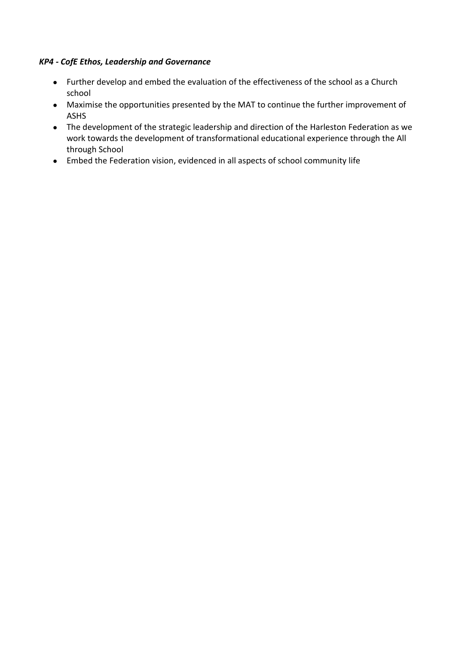#### *KP4 - CofE Ethos, Leadership and Governance*

- Further develop and embed the evaluation of the effectiveness of the school as a Church school
- Maximise the opportunities presented by the MAT to continue the further improvement of ASHS
- The development of the strategic leadership and direction of the Harleston Federation as we work towards the development of transformational educational experience through the All through School
- Embed the Federation vision, evidenced in all aspects of school community life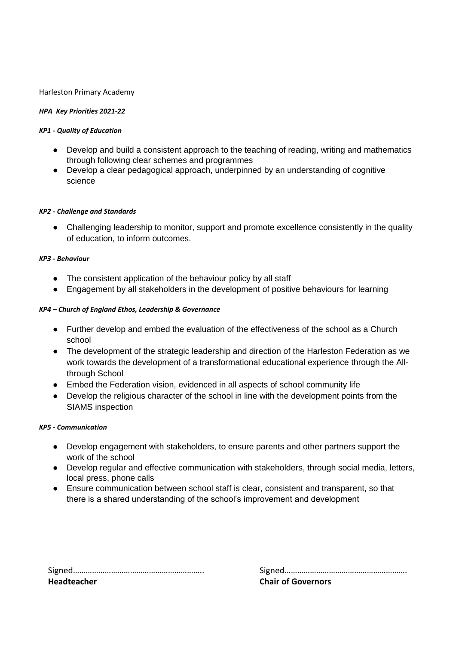#### Harleston Primary Academy

#### *HPA Key Priorities 2021-22*

#### *KP1 - Quality of Education*

- Develop and build a consistent approach to the teaching of reading, writing and mathematics through following clear schemes and programmes
- Develop a clear pedagogical approach, underpinned by an understanding of cognitive science

#### *KP2 - Challenge and Standards*

● Challenging leadership to monitor, support and promote excellence consistently in the quality of education, to inform outcomes.

#### *KP3 - Behaviour*

- The consistent application of the behaviour policy by all staff
- Engagement by all stakeholders in the development of positive behaviours for learning

#### *KP4 – Church of England Ethos, Leadership & Governance*

- Further develop and embed the evaluation of the effectiveness of the school as a Church school
- The development of the strategic leadership and direction of the Harleston Federation as we work towards the development of a transformational educational experience through the Allthrough School
- Embed the Federation vision, evidenced in all aspects of school community life
- Develop the religious character of the school in line with the development points from the SIAMS inspection

#### *KP5 - Communication*

- Develop engagement with stakeholders, to ensure parents and other partners support the work of the school
- Develop regular and effective communication with stakeholders, through social media, letters, local press, phone calls
- Ensure communication between school staff is clear, consistent and transparent, so that there is a shared understanding of the school's improvement and development

| <b>Headteacher</b> |  |
|--------------------|--|

Signed…………………………………………………….. Signed…………………………………………………. **Chair of Governors**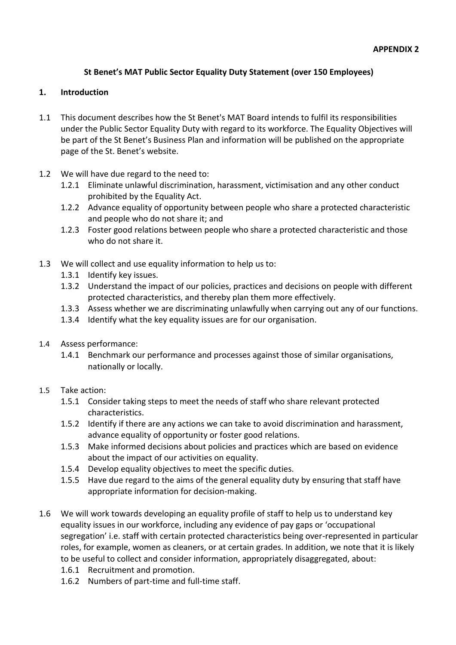## **St Benet's MAT Public Sector Equality Duty Statement (over 150 Employees)**

#### **1. Introduction**

- 1.1 This document describes how the St Benet's MAT Board intends to fulfil its responsibilities under the Public Sector Equality Duty with regard to its workforce. The Equality Objectives will be part of the St Benet's Business Plan and information will be published on the appropriate page of the St. Benet's website.
- 1.2 We will have due regard to the need to:
	- 1.2.1 Eliminate unlawful discrimination, harassment, victimisation and any other conduct prohibited by the Equality Act.
	- 1.2.2 Advance equality of opportunity between people who share a protected characteristic and people who do not share it; and
	- 1.2.3 Foster good relations between people who share a protected characteristic and those who do not share it.
- 1.3 We will collect and use equality information to help us to:
	- 1.3.1 Identify key issues.
	- 1.3.2 Understand the impact of our policies, practices and decisions on people with different protected characteristics, and thereby plan them more effectively.
	- 1.3.3 Assess whether we are discriminating unlawfully when carrying out any of our functions.
	- 1.3.4 Identify what the key equality issues are for our organisation.
- 1.4 Assess performance:
	- 1.4.1 Benchmark our performance and processes against those of similar organisations, nationally or locally.
- 1.5 Take action:
	- 1.5.1 Consider taking steps to meet the needs of staff who share relevant protected characteristics.
	- 1.5.2 Identify if there are any actions we can take to avoid discrimination and harassment, advance equality of opportunity or foster good relations.
	- 1.5.3 Make informed decisions about policies and practices which are based on evidence about the impact of our activities on equality.
	- 1.5.4 Develop equality objectives to meet the specific duties.
	- 1.5.5 Have due regard to the aims of the general equality duty by ensuring that staff have appropriate information for decision-making.
- 1.6 We will work towards developing an equality profile of staff to help us to understand key equality issues in our workforce, including any evidence of pay gaps or 'occupational segregation' i.e. staff with certain protected characteristics being over-represented in particular roles, for example, women as cleaners, or at certain grades. In addition, we note that it is likely to be useful to collect and consider information, appropriately disaggregated, about:
	- 1.6.1 Recruitment and promotion.
	- 1.6.2 Numbers of part-time and full-time staff.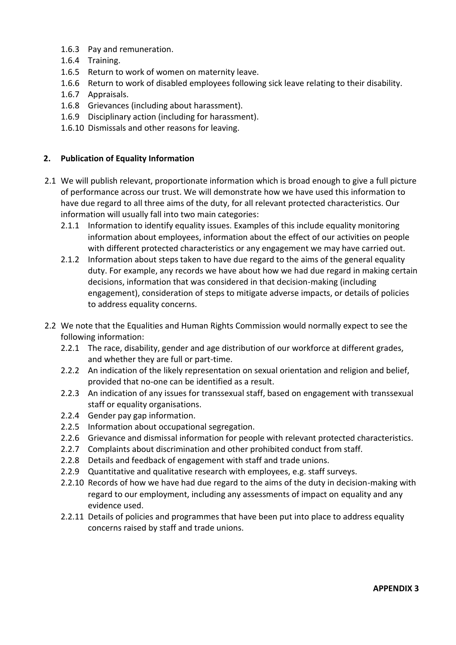- 1.6.3 Pay and remuneration.
- 1.6.4 Training.
- 1.6.5 Return to work of women on maternity leave.
- 1.6.6 Return to work of disabled employees following sick leave relating to their disability.
- 1.6.7 Appraisals.
- 1.6.8 Grievances (including about harassment).
- 1.6.9 Disciplinary action (including for harassment).
- 1.6.10 Dismissals and other reasons for leaving.

#### **2. Publication of Equality Information**

- 2.1 We will publish relevant, proportionate information which is broad enough to give a full picture of performance across our trust. We will demonstrate how we have used this information to have due regard to all three aims of the duty, for all relevant protected characteristics. Our information will usually fall into two main categories:
	- 2.1.1 Information to identify equality issues. Examples of this include equality monitoring information about employees, information about the effect of our activities on people with different protected characteristics or any engagement we may have carried out.
	- 2.1.2 Information about steps taken to have due regard to the aims of the general equality duty. For example, any records we have about how we had due regard in making certain decisions, information that was considered in that decision-making (including engagement), consideration of steps to mitigate adverse impacts, or details of policies to address equality concerns.
- 2.2 We note that the Equalities and Human Rights Commission would normally expect to see the following information:
	- 2.2.1 The race, disability, gender and age distribution of our workforce at different grades, and whether they are full or part-time.
	- 2.2.2 An indication of the likely representation on sexual orientation and religion and belief, provided that no-one can be identified as a result.
	- 2.2.3 An indication of any issues for transsexual staff, based on engagement with transsexual staff or equality organisations.
	- 2.2.4 Gender pay gap information.
	- 2.2.5 Information about occupational segregation.
	- 2.2.6 Grievance and dismissal information for people with relevant protected characteristics.
	- 2.2.7 Complaints about discrimination and other prohibited conduct from staff.
	- 2.2.8 Details and feedback of engagement with staff and trade unions.
	- 2.2.9 Quantitative and qualitative research with employees, e.g. staff surveys.
	- 2.2.10 Records of how we have had due regard to the aims of the duty in decision-making with regard to our employment, including any assessments of impact on equality and any evidence used.
	- 2.2.11 Details of policies and programmes that have been put into place to address equality concerns raised by staff and trade unions.